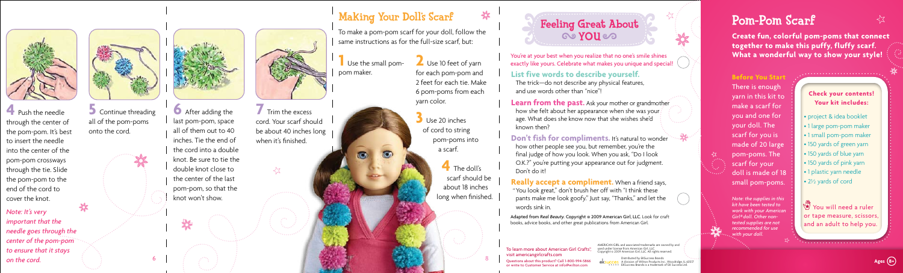To learn more about American Girl Crafts® visit americangirlcrafts.com

Distributed by EKSuccess Brands A division of Wilton Products Inc., Woodridge, IL 6051 EKSuccess Brands is a trademark of EK Success Ltd. **Exercises Brands**<br> **Bustions about this product?** Call 1-800-994-5866 eksucces Adivision of Wilton Products Inc., Woodridge, IL 6057

.. 26

Questions about this product? Call 1-800-994-5866 or write to Customer Service at info@wilton.com

AMERICAN GIRL and associated trademarks are owned by and used under license from American Girl, LLC. opyright © 2009 American Girl, LLC. All rights reserved.

You're at your best when you realize that no one's smile shines exactly like yours. Celebrate what makes you unique and special!

**Learn from the past.** Ask your mother or grandmother how she felt about her appearance when she was your age. What does she know now that she wishes she'd known then?

**Don't fish for compliments.** It's natural to wonder how other people see you, but remember, you're the final judge of how you look. When you ask, "Do I look O.K.?" you're putting your appearance out for judgment.

### **List five words to describe yourself.**

The trick—do not describe any physical features, and use words other than "nice"!

Don't do it!

**Really accept a compliment.** When a friend says, You look great," don't brush her off with "I think these "pants make me look goofy." Just say, "Thanks," and let the words sink in.

Adapted from *Real Beauty.* Copyright © 2009 American Girl, LLC. Look for craft books, advice books, and other great publications from American Girl.

**4** The doll's scarf should be about 18 inches long when finished.

**Before You Start** There is enough yarn in this kit to make a scarf for you and one for your doll. The scarf for you is made of 20 large pom-poms. The scarf for your doll is made of 18 small pom-poms.

**5** Continue threading all of the pom-poms onto the cord.



**4** Push the needle through the center of the pom-pom. It's best to insert the needle into the center of the pom-pom crossways through the tie. Slide the pom-pom to the end of the cord to cover the knot.

*Note: the supplies in this kit have been tested to work with your American Girl® doll. Other nontested supplies are not recommended for use with your doll.*

### **Check your contents! Your kit includes:**

- project & idea booklet
- 1 large pom-pom maker
- 1 small pom-pom maker
- 150 yards of green yarn
- 150 yards of blue yarn
- 150 yards of pink yarn
- 1 plastic yarn needle
- 2½ yards of cord

You will need a ruler or tape measure, scissors, and an adult to help you.

**6** After adding the last pom-pom, space all of them out to 40 inches. Tie the end of the cord into a double knot. Be sure to tie the double knot close to the center of the last pom-pom, so that the knot won't show.



**7** Trim the excess cord. Your scarf should be about 40 inches long when it's finished.

 $\preceq$ 

**1** Use the small pompom maker.

 $\circ$ 

**TO** 

**Create fun, colorful pom-poms that connect together to make this puffy, fluffy scarf. What a wonderful way to show your style!**

Pom-Pom Scarf



## Making Your Doll's Scarf

To make a pom-pom scarf for your doll, follow the same instructions as for the full-size scarf, but:

> **2** Use 10 feet of yarn for each pom-pom and 2 feet for each tie. Make 6 pom-poms from each yarn color.

☆

**3** Use 20 inches of cord to string pom-poms into a scarf.

*Note: It's very important that the needle goes through the center of the pom-pom to ensure that it stays on the cord.*